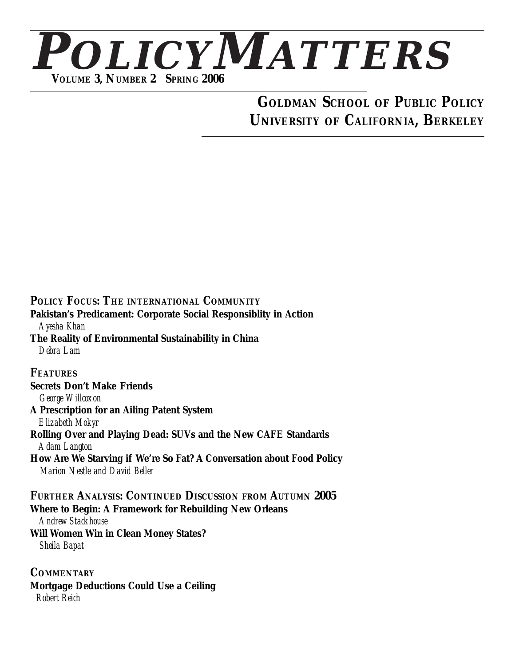

## **GOLDMAN SCHOOL OF PUBLIC POLICY UNIVERSITY OF CALIFORNIA, BERKELEY**

**POLICY FOCUS: THE INTERNATIONAL COMMUNITY Pakistan's Predicament: Corporate Social Responsiblity in Action** *Ayesha Khan* **The Reality of Environmental Sustainability in China** *Debra Lam* **FEATURES Secrets Don't Make Friends** *George Willcoxon* **A Prescription for an Ailing Patent System** *Elizabeth Mokyr* **Rolling Over and Playing Dead: SUVs and the New CAFE Standards** *Adam Langton* **How Are We Starving if We're So Fat? A Conversation about Food Policy** *Marion Nestle and David Beller* **FURTHER ANALYSIS: CONTINUED DISCUSSION FROM AUTUMN 2005 Where to Begin: A Framework for Rebuilding New Orleans** *Andrew Stackhouse* **Will Women Win in Clean Money States?** *Sheila Bapat*

**COMMENTARY Mortgage Deductions Could Use a Ceiling** *Robert Reich*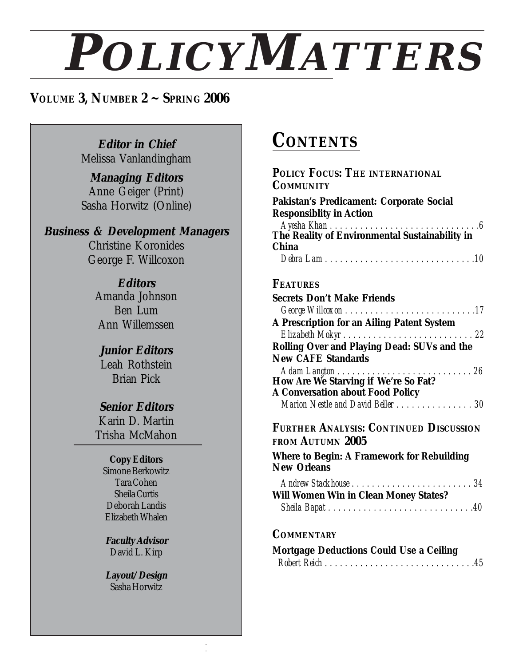# **POLICYMATTERS**

**POLICYMATTERS ~ PAGE 3**

## **VOLUME 3, NUMBER 2 ~ SPRING 2006**

**Editor in Chief** Melissa Vanlandingham

**Managing Editors** Anne Geiger (Print) Sasha Horwitz (Online)

**Business & Development Managers** Christine Koronides George F. Willcoxon

> **Editors** Amanda Johnson Ben Lum Ann Willemssen

**Junior Editors** Leah Rothstein Brian Pick

#### **Senior Editors**

Karin D. Martin Trisha McMahon

### **Copy Editors**

Simone Berkowitz Tara Cohen Sheila Curtis Deborah Landis Elizabeth Whalen

**Faculty Advisor** David L. Kirp

**Layout/Design** Sasha Horwitz

# **CONTENTS**

| POLICY FOCUS: THE INTERNATIONAL<br><b>COMMUNITY</b>                             |
|---------------------------------------------------------------------------------|
| Pakistan's Predicament: Corporate Social<br><b>Responsiblity in Action</b>      |
|                                                                                 |
| <b>China</b>                                                                    |
| <b>FEATURES</b>                                                                 |
| <b>Secrets Don't Make Friends</b>                                               |
|                                                                                 |
| A Prescription for an Ailing Patent System                                      |
|                                                                                 |
| <b>Rolling Over and Playing Dead: SUVs and the</b>                              |
| <b>New CAFE Standards</b>                                                       |
|                                                                                 |
| How Are We Starving if We're So Fat?<br><b>A Conversation about Food Policy</b> |
| Marion Nestle and David Beller 30                                               |
|                                                                                 |
| <b>FURTHER ANALYSIS: CONTINUED DISCUSSION</b><br>FROM AUTUMN 2005               |
| <b>Where to Begin: A Framework for Rebuilding</b><br><b>New Orleans</b>         |
|                                                                                 |
| <b>Will Women Win in Clean Money States?</b>                                    |
|                                                                                 |
| <b>COMMENTARY</b>                                                               |

| <b>Mortgage Deductions Could Use a Ceiling</b> |  |  |  |  |  |  |  |  |
|------------------------------------------------|--|--|--|--|--|--|--|--|
|                                                |  |  |  |  |  |  |  |  |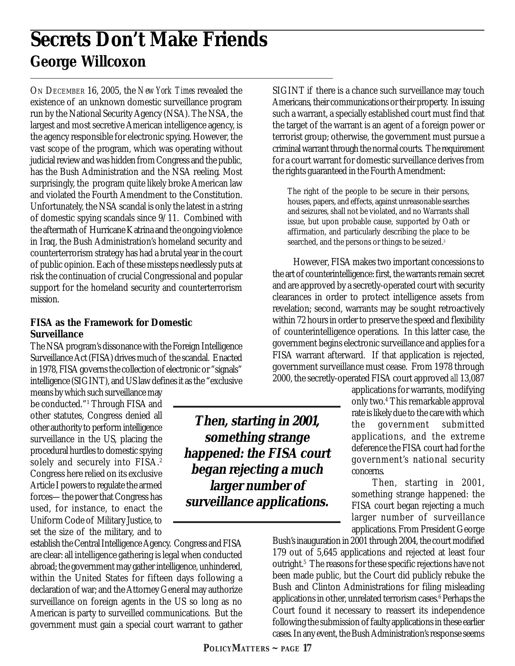# **Secrets Don't Make Friends George Willcoxon**

ON DECEMBER 16, 2005, the *New York Times* revealed the existence of an unknown domestic surveillance program run by the National Security Agency (NSA). The NSA, the largest and most secretive American intelligence agency, is the agency responsible for electronic spying. However, the vast scope of the program, which was operating without judicial review and was hidden from Congress and the public, has the Bush Administration and the NSA reeling. Most surprisingly, the program quite likely broke American law and violated the Fourth Amendment to the Constitution. Unfortunately, the NSA scandal is only the latest in a string of domestic spying scandals since 9/11. Combined with the aftermath of Hurricane Katrina and the ongoing violence in Iraq, the Bush Administration's homeland security and counterterrorism strategy has had a brutal year in the court of public opinion. Each of these missteps needlessly puts at risk the continuation of crucial Congressional and popular support for the homeland security and counterterrorism mission.

#### **FISA as the Framework for Domestic Surveillance**

The NSA program's dissonance with the Foreign Intelligence Surveillance Act (FISA) drives much of the scandal. Enacted in 1978, FISA governs the collection of electronic or "signals" intelligence (SIGINT), and US law defines it as the "exclusive

means by which such surveillance may be conducted."1 Through FISA and other statutes, Congress denied all other authority to perform intelligence surveillance in the US, placing the procedural hurdles to domestic spying solely and securely into FISA.<sup>2</sup> Congress here relied on its exclusive Article I powers to regulate the armed forces—the power that Congress has used, for instance, to enact the Uniform Code of Military Justice, to set the size of the military, and to

establish the Central Intelligence Agency. Congress and FISA are clear: all intelligence gathering is legal when conducted abroad; the government may gather intelligence, unhindered, within the United States for fifteen days following a declaration of war; and the Attorney General may authorize surveillance on foreign agents in the US so long as no American is party to surveilled communications. But the government must gain a special court warrant to gather SIGINT if there is a chance such surveillance may touch Americans, their communications or their property. In issuing such a warrant, a specially established court must find that the target of the warrant is an agent of a foreign power or terrorist group; otherwise, the government must pursue a criminal warrant through the normal courts. The requirement for a court warrant for domestic surveillance derives from the rights guaranteed in the Fourth Amendment:

The right of the people to be secure in their persons, houses, papers, and effects, against unreasonable searches and seizures, shall not be violated, and no Warrants shall issue, but upon probable cause, supported by Oath or affirmation, and particularly describing the place to be searched, and the persons or things to be seized.<sup>3</sup>

However, FISA makes two important concessions to the art of counterintelligence: first, the warrants remain secret and are approved by a secretly-operated court with security clearances in order to protect intelligence assets from revelation; second, warrants may be sought retroactively within 72 hours in order to preserve the speed and flexibility of counterintelligence operations. In this latter case, the government begins electronic surveillance and applies for a FISA warrant afterward. If that application is rejected, government surveillance must cease. From 1978 through 2000, the secretly-operated FISA court approved *all* 13,087

applications for warrants, modifying only two.4 This remarkable approval rate is likely due to the care with which the government submitted applications, and the extreme deference the FISA court had for the government's national security concerns.

Then, starting in 2001, something strange happened: the FISA court began rejecting a much larger number of surveillance applications. From President George

Bush's inauguration in 2001 through 2004, the court modified 179 out of 5,645 applications and rejected at least four outright.<sup>5</sup> The reasons for these specific rejections have not been made public, but the Court did publicly rebuke the Bush and Clinton Administrations for filing misleading applications in other, unrelated terrorism cases.<sup>6</sup> Perhaps the Court found it necessary to reassert its independence following the submission of faulty applications in these earlier cases. In any event, the Bush Administration's response seems

**Then, starting in 2001, something strange happened: the FISA court began rejecting a much larger number of surveillance applications.**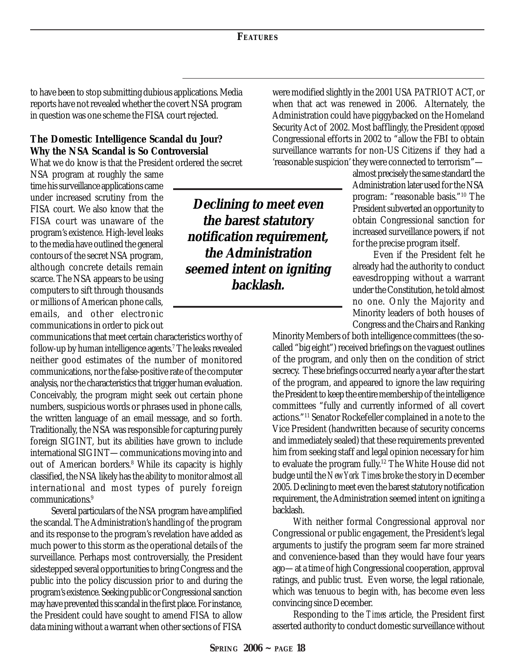to have been to stop submitting dubious applications. Media reports have not revealed whether the covert NSA program in question was one scheme the FISA court rejected.

#### **The Domestic Intelligence Scandal du Jour? Why the NSA Scandal is So Controversial**

What we do know is that the President ordered the secret

NSA program at roughly the same time his surveillance applications came under increased scrutiny from the FISA court. We also know that the FISA court was unaware of the program's existence. High-level leaks to the media have outlined the general contours of the secret NSA program, although concrete details remain scarce. The NSA appears to be using computers to sift through thousands or millions of American phone calls, emails, and other electronic communications in order to pick out

communications that meet certain characteristics worthy of follow-up by human intelligence agents.7 The leaks revealed neither good estimates of the number of monitored communications, nor the false-positive rate of the computer analysis, nor the characteristics that trigger human evaluation. Conceivably, the program might seek out certain phone numbers, suspicious words or phrases used in phone calls, the written language of an email message, and so forth. Traditionally, the NSA was responsible for capturing purely foreign SIGINT, but its abilities have grown to include international SIGINT—communications moving into and out of American borders.<sup>8</sup> While its capacity is highly classified, the NSA likely has the ability to monitor almost all international and most types of purely foreign communications.9

Several particulars of the NSA program have amplified the scandal. The Administration's handling of the program and its response to the program's revelation have added as much power to this storm as the operational details of the surveillance. Perhaps most controversially, the President sidestepped several opportunities to bring Congress and the public into the policy discussion prior to and during the program's existence. Seeking public or Congressional sanction may have prevented this scandal in the first place. For instance, the President could have sought to amend FISA to allow data mining without a warrant when other sections of FISA

**Declining to meet even the barest statutory notification requirement, the Administration seemed intent on igniting backlash.**

were modified slightly in the 2001 USA PATRIOT ACT, or when that act was renewed in 2006. Alternately, the Administration could have piggybacked on the Homeland Security Act of 2002. Most bafflingly, the President *opposed* Congressional efforts in 2002 to "allow the FBI to obtain surveillance warrants for non-US Citizens if they had a 'reasonable suspicion' they were connected to terrorism"—

almost precisely the same standard the Administration later used for the NSA program: "reasonable basis."10 The President subverted an opportunity to obtain Congressional sanction for increased surveillance powers, if not for the precise program itself.

Even if the President felt he already had the authority to conduct eavesdropping without a warrant under the Constitution, he told almost no one. Only the Majority and Minority leaders of both houses of Congress and the Chairs and Ranking

Minority Members of both intelligence committees (the socalled "big eight") received briefings on the vaguest outlines of the program, and only then on the condition of strict secrecy. These briefings occurred nearly a year after the start of the program, and appeared to ignore the law requiring the President to keep the entire membership of the intelligence committees "fully and currently informed of all covert actions."11 Senator Rockefeller complained in a note to the Vice President (handwritten because of security concerns and immediately sealed) that these requirements prevented him from seeking staff and legal opinion necessary for him to evaluate the program fully.12 The White House did not budge until the *New York Times* broke the story in December 2005. Declining to meet even the barest statutory notification requirement, the Administration seemed intent on igniting a backlash.

With neither formal Congressional approval nor Congressional or public engagement, the President's legal arguments to justify the program seem far more strained and convenience-based than they would have four years ago—at a time of high Congressional cooperation, approval ratings, and public trust. Even worse, the legal rationale, which was tenuous to begin with, has become even less convincing since December.

Responding to the *Times* article, the President first asserted authority to conduct domestic surveillance without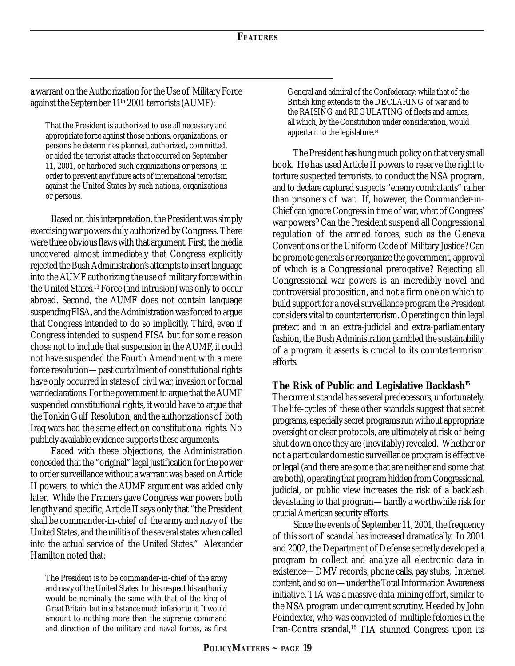a warrant on the Authorization for the Use of Military Force against the September 11<sup>th</sup> 2001 terrorists (AUMF):

That the President is authorized to use all necessary and appropriate force against those nations, organizations, or persons he determines planned, authorized, committed, or aided the terrorist attacks that occurred on September 11, 2001, or harbored such organizations or persons, in order to prevent any future acts of international terrorism against the United States by such nations, organizations or persons.

Based on this interpretation, the President was simply exercising war powers duly authorized by Congress. There were three obvious flaws with that argument. First, the media uncovered almost immediately that Congress explicitly rejected the Bush Administration's attempts to insert language into the AUMF authorizing the use of military force within the United States.13 Force (and intrusion) was only to occur abroad. Second, the AUMF does not contain language suspending FISA, and the Administration was forced to argue that Congress intended to do so implicitly. Third, even if Congress intended to suspend FISA but for some reason chose not to include that suspension in the AUMF, it could not have suspended the Fourth Amendment with a mere force resolution—past curtailment of constitutional rights have only occurred in states of civil war, invasion or formal war declarations. For the government to argue that the AUMF suspended constitutional rights, it would have to argue that the Tonkin Gulf Resolution, and the authorizations of both Iraq wars had the same effect on constitutional rights. No publicly available evidence supports these arguments.

Faced with these objections, the Administration conceded that the "original" legal justification for the power to order surveillance without a warrant was based on Article II powers, to which the AUMF argument was added only later. While the Framers gave Congress war powers both lengthy and specific, Article II says only that "the President shall be commander-in-chief of the army and navy of the United States, and the militia of the several states when called into the actual service of the United States." Alexander Hamilton noted that:

The President is to be commander-in-chief of the army and navy of the United States. In this respect his authority would be nominally the same with that of the king of Great Britain, but in substance much inferior to it. It would amount to nothing more than the supreme command and direction of the military and naval forces, as first

General and admiral of the Confederacy; while that of the British king extends to the DECLARING of war and to the RAISING and REGULATING of fleets and armies, all which, by the Constitution under consideration, would appertain to the legislature.14

The President has hung much policy on that very small hook. He has used Article II powers to reserve the right to torture suspected terrorists, to conduct the NSA program, and to declare captured suspects "enemy combatants" rather than prisoners of war. If, however, the Commander-in-Chief can ignore Congress in time of war, what of Congress' war powers? Can the President suspend all Congressional regulation of the armed forces, such as the Geneva Conventions or the Uniform Code of Military Justice? Can he promote generals or reorganize the government, approval of which is a Congressional prerogative? Rejecting all Congressional war powers is an incredibly novel and controversial proposition, and not a firm one on which to build support for a novel surveillance program the President considers vital to counterterrorism. Operating on thin legal pretext and in an extra-judicial and extra-parliamentary fashion, the Bush Administration gambled the sustainability of a program it asserts is crucial to its counterterrorism efforts.

#### **The Risk of Public and Legislative Backlash15**

The current scandal has several predecessors, unfortunately. The life-cycles of these other scandals suggest that secret programs, especially secret programs run without appropriate oversight or clear protocols, are ultimately at risk of being shut down once they are (inevitably) revealed. Whether or not a particular domestic surveillance program is effective or legal (and there are some that are neither and some that are both), operating that program hidden from Congressional, judicial, or public view increases the risk of a backlash devastating to that program—hardly a worthwhile risk for crucial American security efforts.

Since the events of September 11, 2001, the frequency of this sort of scandal has increased dramatically. In 2001 and 2002, the Department of Defense secretly developed a program to collect and analyze all electronic data in existence—DMV records, phone calls, pay stubs, Internet content, and so on—under the Total Information Awareness initiative. TIA was a massive data-mining effort, similar to the NSA program under current scrutiny. Headed by John Poindexter, who was convicted of multiple felonies in the Iran-Contra scandal,<sup>16</sup> TIA stunned Congress upon its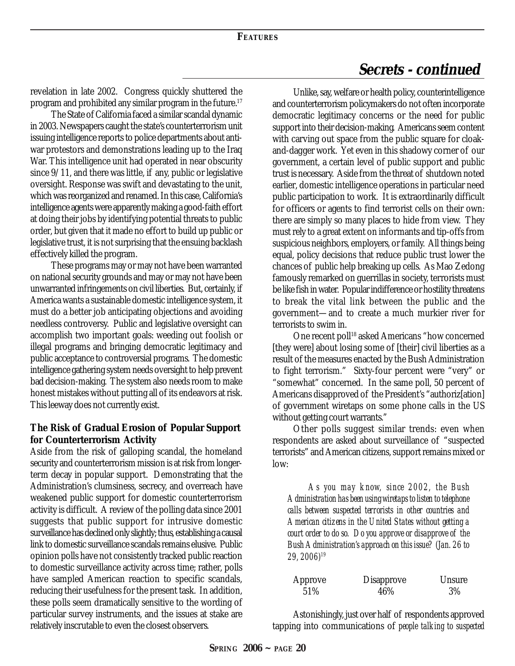## **Secrets - continued**

revelation in late 2002. Congress quickly shuttered the program and prohibited any similar program in the future.17

The State of California faced a similar scandal dynamic in 2003. Newspapers caught the state's counterterrorism unit issuing intelligence reports to police departments about antiwar protestors and demonstrations leading up to the Iraq War. This intelligence unit had operated in near obscurity since 9/11, and there was little, if any, public or legislative oversight. Response was swift and devastating to the unit, which was reorganized and renamed. In this case, California's intelligence agents were apparently making a good-faith effort at doing their jobs by identifying potential threats to public order, but given that it made no effort to build up public or legislative trust, it is not surprising that the ensuing backlash effectively killed the program.

These programs may or may not have been warranted on national security grounds and may or may not have been unwarranted infringements on civil liberties. But, certainly, if America wants a sustainable domestic intelligence system, it must do a better job anticipating objections and avoiding needless controversy. Public and legislative oversight can accomplish two important goals: weeding out foolish or illegal programs and bringing democratic legitimacy and public acceptance to controversial programs. The domestic intelligence gathering system needs oversight to help prevent bad decision-making. The system also needs room to make honest mistakes without putting all of its endeavors at risk. This leeway does not currently exist.

#### **The Risk of Gradual Erosion of Popular Support for Counterterrorism Activity**

Aside from the risk of galloping scandal, the homeland security and counterterrorism mission is at risk from longerterm decay in popular support. Demonstrating that the Administration's clumsiness, secrecy, and overreach have weakened public support for domestic counterterrorism activity is difficult. A review of the polling data since 2001 suggests that public support for intrusive domestic surveillance has declined only slightly; thus, establishing a causal link to domestic surveillance scandals remains elusive. Public opinion polls have not consistently tracked public reaction to domestic surveillance activity across time; rather, polls have sampled American reaction to specific scandals, reducing their usefulness for the present task. In addition, these polls seem dramatically sensitive to the wording of particular survey instruments, and the issues at stake are relatively inscrutable to even the closest observers.

Unlike, say, welfare or health policy, counterintelligence and counterterrorism policymakers do not often incorporate democratic legitimacy concerns or the need for public support into their decision-making. Americans seem content with carving out space from the public square for cloakand-dagger work. Yet even in this shadowy corner of our government, a certain level of public support and public trust is necessary. Aside from the threat of shutdown noted earlier, domestic intelligence operations in particular need public participation to work. It is extraordinarily difficult for officers or agents to find terrorist cells on their own: there are simply so many places to hide from view. They must rely to a great extent on informants and tip-offs from suspicious neighbors, employers, or family. All things being equal, policy decisions that reduce public trust lower the chances of public help breaking up cells. As Mao Zedong famously remarked on guerrillas in society, terrorists must be like fish in water. Popular indifference or hostility threatens to break the vital link between the public and the government—and to create a much murkier river for terrorists to swim in.

One recent poll<sup>18</sup> asked Americans "how concerned [they were] about losing some of [their] civil liberties as a result of the measures enacted by the Bush Administration to fight terrorism." Sixty-four percent were "very" or "somewhat" concerned. In the same poll, 50 percent of Americans disapproved of the President's "authoriz[ation] of government wiretaps on some phone calls in the US without getting court warrants."

Other polls suggest similar trends: even when respondents are asked about surveillance of "suspected terrorists" and American citizens, support remains mixed or low:

*As you may know, since 2002, the Bush Administration has been using wiretaps to listen to telephone calls between suspected terrorists in other countries and American citizens in the United States without getting a court order to do so. Do you approve or disapprove of the Bush Administration's approach on this issue? (Jan. 26 to 29, 2006)19*

| Approve | <b>Disapprove</b> | <b>Unsure</b> |
|---------|-------------------|---------------|
| 51\%    | 46%               | 3%            |

Astonishingly, just over half of respondents approved tapping into communications of *people talking to suspected*